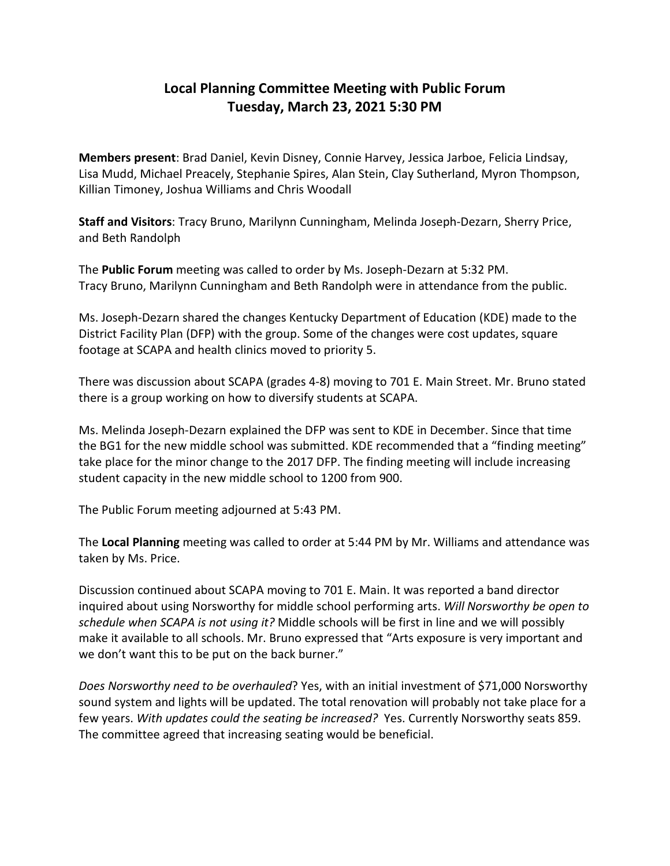## **Local Planning Committee Meeting with Public Forum Tuesday, March 23, 2021 5:30 PM**

**Members present**: Brad Daniel, Kevin Disney, Connie Harvey, Jessica Jarboe, Felicia Lindsay, Lisa Mudd, Michael Preacely, Stephanie Spires, Alan Stein, Clay Sutherland, Myron Thompson, Killian Timoney, Joshua Williams and Chris Woodall

**Staff and Visitors**: Tracy Bruno, Marilynn Cunningham, Melinda Joseph-Dezarn, Sherry Price, and Beth Randolph

The **Public Forum** meeting was called to order by Ms. Joseph-Dezarn at 5:32 PM. Tracy Bruno, Marilynn Cunningham and Beth Randolph were in attendance from the public.

Ms. Joseph-Dezarn shared the changes Kentucky Department of Education (KDE) made to the District Facility Plan (DFP) with the group. Some of the changes were cost updates, square footage at SCAPA and health clinics moved to priority 5.

There was discussion about SCAPA (grades 4-8) moving to 701 E. Main Street. Mr. Bruno stated there is a group working on how to diversify students at SCAPA.

Ms. Melinda Joseph-Dezarn explained the DFP was sent to KDE in December. Since that time the BG1 for the new middle school was submitted. KDE recommended that a "finding meeting" take place for the minor change to the 2017 DFP. The finding meeting will include increasing student capacity in the new middle school to 1200 from 900.

The Public Forum meeting adjourned at 5:43 PM.

The **Local Planning** meeting was called to order at 5:44 PM by Mr. Williams and attendance was taken by Ms. Price.

Discussion continued about SCAPA moving to 701 E. Main. It was reported a band director inquired about using Norsworthy for middle school performing arts. *Will Norsworthy be open to schedule when SCAPA is not using it?* Middle schools will be first in line and we will possibly make it available to all schools. Mr. Bruno expressed that "Arts exposure is very important and we don't want this to be put on the back burner."

*Does Norsworthy need to be overhauled*? Yes, with an initial investment of \$71,000 Norsworthy sound system and lights will be updated. The total renovation will probably not take place for a few years. *With updates could the seating be increased?* Yes. Currently Norsworthy seats 859. The committee agreed that increasing seating would be beneficial.